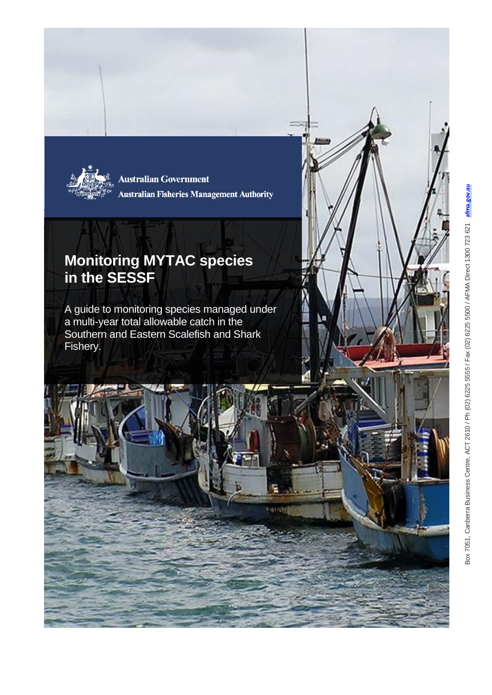

**Australian Government Australian Fisheries Management Authority** 

## **Monitoring MYTAC species in the SESSF**

A guide to monitoring species managed under a multi-year total allowable catch in the Southern and Eastern Scalefish and Shark Fishery.

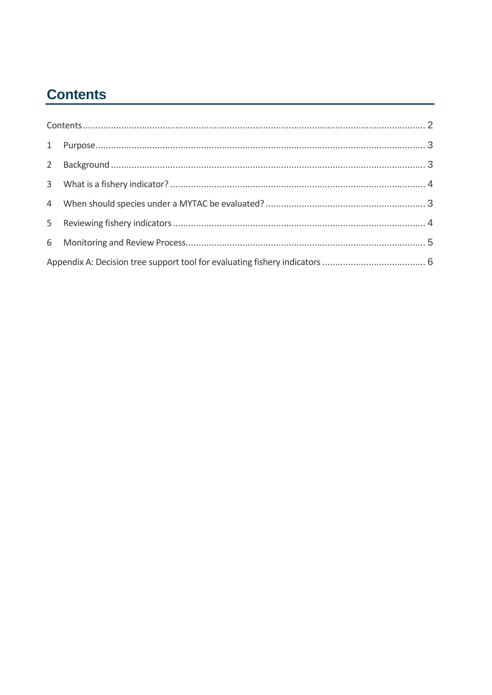# <span id="page-1-0"></span>**Contents**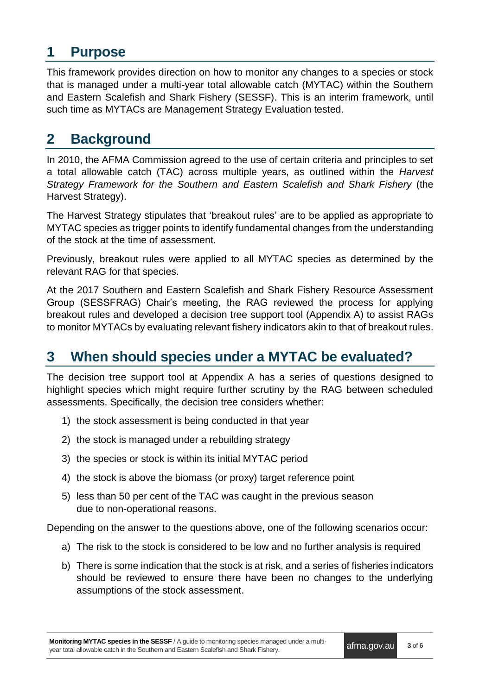## <span id="page-2-0"></span>**1 Purpose**

This framework provides direction on how to monitor any changes to a species or stock that is managed under a multi-year total allowable catch (MYTAC) within the Southern and Eastern Scalefish and Shark Fishery (SESSF). This is an interim framework, until such time as MYTACs are Management Strategy Evaluation tested.

## <span id="page-2-1"></span>**2 Background**

In 2010, the AFMA Commission agreed to the use of certain criteria and principles to set a total allowable catch (TAC) across multiple years, as outlined within the *Harvest Strategy Framework for the Southern and Eastern Scalefish and Shark Fishery* (the Harvest Strategy).

The Harvest Strategy stipulates that 'breakout rules' are to be applied as appropriate to MYTAC species as trigger points to identify fundamental changes from the understanding of the stock at the time of assessment.

Previously, breakout rules were applied to all MYTAC species as determined by the relevant RAG for that species.

At the 2017 Southern and Eastern Scalefish and Shark Fishery Resource Assessment Group (SESSFRAG) Chair's meeting, the RAG reviewed the process for applying breakout rules and developed a decision tree support tool [\(Appendix A\)](#page-5-0) to assist RAGs to monitor MYTACs by evaluating relevant fishery indicators akin to that of breakout rules.

### <span id="page-2-2"></span>**3 When should species under a MYTAC be evaluated?**

The decision tree support tool at Appendix A has a series of questions designed to highlight species which might require further scrutiny by the RAG between scheduled assessments. Specifically, the decision tree considers whether:

- 1) the stock assessment is being conducted in that year
- 2) the stock is managed under a rebuilding strategy
- 3) the species or stock is within its initial MYTAC period
- 4) the stock is above the biomass (or proxy) target reference point
- 5) less than 50 per cent of the TAC was caught in the previous season due to non-operational reasons.

Depending on the answer to the questions above, one of the following scenarios occur:

- a) The risk to the stock is considered to be low and no further analysis is required
- b) There is some indication that the stock is at risk, and a series of fisheries indicators should be reviewed to ensure there have been no changes to the underlying assumptions of the stock assessment.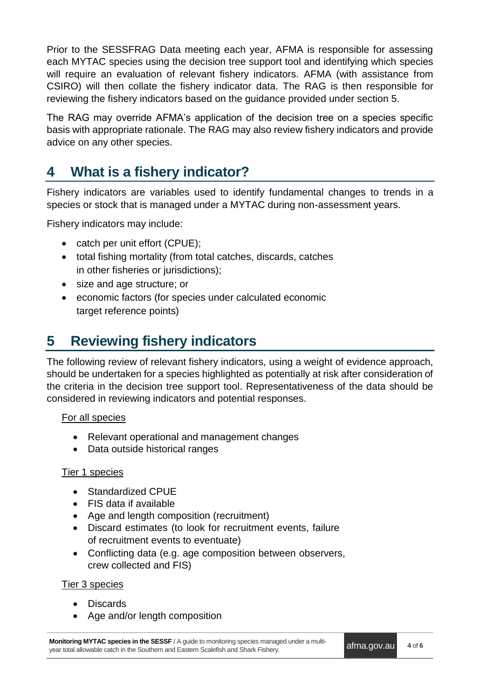Prior to the SESSFRAG Data meeting each year, AFMA is responsible for assessing each MYTAC species using the decision tree support tool and identifying which species will require an evaluation of relevant fishery indicators. AFMA (with assistance from CSIRO) will then collate the fishery indicator data. The RAG is then responsible for reviewing the fishery indicators based on the guidance provided under section 5.

The RAG may override AFMA's application of the decision tree on a species specific basis with appropriate rationale. The RAG may also review fishery indicators and provide advice on any other species.

# <span id="page-3-0"></span>**4 What is a fishery indicator?**

Fishery indicators are variables used to identify fundamental changes to trends in a species or stock that is managed under a MYTAC during non-assessment years.

Fishery indicators may include:

- catch per unit effort (CPUE):
- total fishing mortality (from total catches, discards, catches in other fisheries or jurisdictions);
- size and age structure; or
- economic factors (for species under calculated economic target reference points)

# **5 Reviewing fishery indicators**

The following review of relevant fishery indicators, using a weight of evidence approach, should be undertaken for a species highlighted as potentially at risk after consideration of the criteria in the decision tree support tool. Representativeness of the data should be considered in reviewing indicators and potential responses.

#### For all species

- Relevant operational and management changes
- Data outside historical ranges

#### Tier 1 species

- Standardized CPUE
- FIS data if available
- Age and length composition (recruitment)
- Discard estimates (to look for recruitment events, failure of recruitment events to eventuate)
- Conflicting data (e.g. age composition between observers, crew collected and FIS)

#### Tier 3 species

- Discards
- Age and/or length composition

**Monitoring MYTAC species in the SESSF** / A guide to monitoring species managed under a multiyear total allowable catch in the Southern and Eastern Scalefish and Shark Fishery.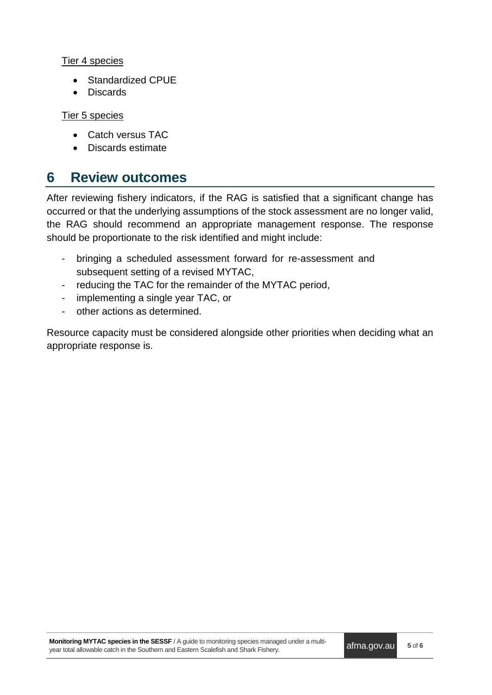Tier 4 species

- Standardized CPUE
- Discards

Tier 5 species

- Catch versus TAC
- Discards estimate

### <span id="page-4-0"></span>**6 Review outcomes**

After reviewing fishery indicators, if the RAG is satisfied that a significant change has occurred or that the underlying assumptions of the stock assessment are no longer valid, the RAG should recommend an appropriate management response. The response should be proportionate to the risk identified and might include:

- bringing a scheduled assessment forward for re-assessment and subsequent setting of a revised MYTAC,
- reducing the TAC for the remainder of the MYTAC period,
- implementing a single year TAC, or
- other actions as determined.

Resource capacity must be considered alongside other priorities when deciding what an appropriate response is.